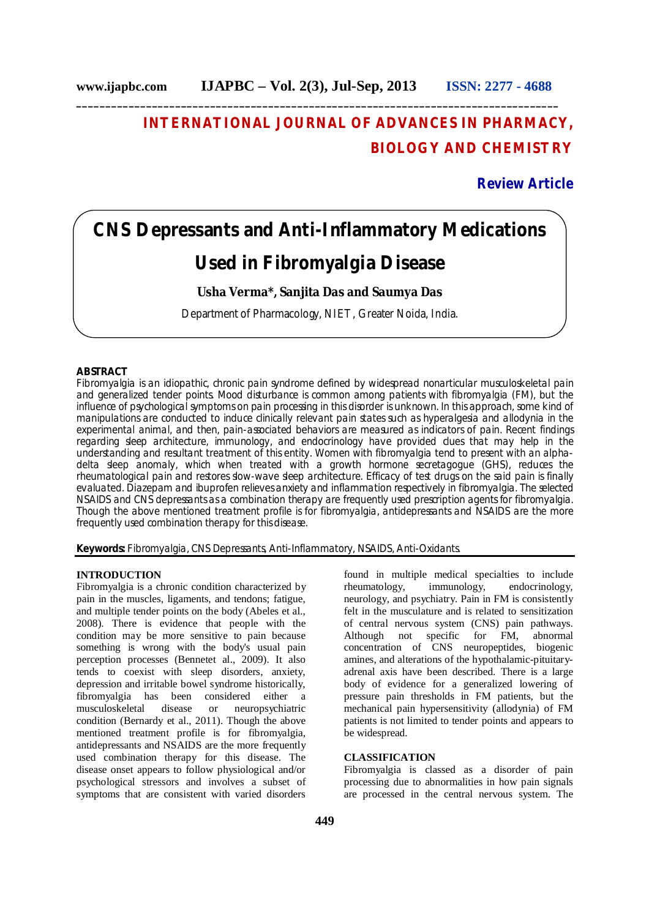# **INTERNATIONAL JOURNAL OF ADVANCES IN PHARMACY, BIOLOGY AND CHEMISTRY**

# **Review Article**

# **CNS Depressants and Anti-Inflammatory Medications Used in Fibromyalgia Disease**

# **Usha Verma\*, Sanjita Das and Saumya Das**

Department of Pharmacology, NIET, Greater Noida, India.

# **ABSTRACT**

Fibromyalgia is an idiopathic, chronic pain syndrome defined by widespread nonarticular musculoskeletal pain and generalized tender points. Mood disturbance is common among patients with fibromyalgia (FM), but the influence of psychological symptoms on pain processing in this disorder is unknown. In this approach, some kind of manipulations are conducted to induce clinically relevant pain states such as hyperalgesia and allodynia in the experimental animal, and then, pain-associated behaviors are measured as indicators of pain. Recent findings regarding sleep architecture, immunology, and endocrinology have provided clues that may help in the understanding and resultant treatment of this entity. Women with fibromyalgia tend to present with an alphadelta sleep anomaly, which when treated with a growth hormone secretagogue (GHS), reduces the rheumatological pain and restores slow-wave sleep architecture. Efficacy of test drugs on the said pain is finally evaluated. Diazepam and ibuprofen relieves anxiety and inflammation respectively in fibromyalgia. The selected NSAIDS and CNS depressants as a combination therapy are frequently used prescription agents for fibromyalgia. Though the above mentioned treatment profile is for fibromyalgia, antidepressants and NSAIDS are the more frequently used combination therapy for this disease.

**Keywords:** Fibromyalgia, CNS Depressants, Anti-Inflammatory, NSAIDS, Anti-Oxidants.

#### **INTRODUCTION**

Fibromyalgia is a chronic condition characterized by pain in the muscles, ligaments, and tendons; fatigue, and multiple tender points on the body (Abeles et al., 2008). There is evidence that people with the condition may be more sensitive to pain because something is wrong with the body's usual pain perception processes (Bennetet al., 2009). It also tends to coexist with sleep disorders, anxiety, depression and irritable bowel syndrome historically, fibromyalgia has been considered either a musculoskeletal disease or neuropsychiatric condition (Bernardy et al., 2011). Though the above mentioned treatment profile is for fibromyalgia, antidepressants and NSAIDS are the more frequently used combination therapy for this disease. The disease onset appears to follow physiological and/or psychological stressors and involves a subset of symptoms that are consistent with varied disorders

found in multiple medical specialties to include rheumatology, immunology, endocrinology, neurology, and psychiatry. Pain in FM is consistently felt in the musculature and is related to sensitization of central nervous system (CNS) pain pathways. Although not specific for FM, abnormal concentration of CNS neuropeptides, biogenic amines, and alterations of the hypothalamic-pituitaryadrenal axis have been described. There is a large body of evidence for a generalized lowering of pressure pain thresholds in FM patients, but the mechanical pain hypersensitivity (allodynia) of FM patients is not limited to tender points and appears to be widespread.

# **CLASSIFICATION**

Fibromyalgia is classed as a disorder of pain processing due to abnormalities in how pain signals are processed in the central nervous system. The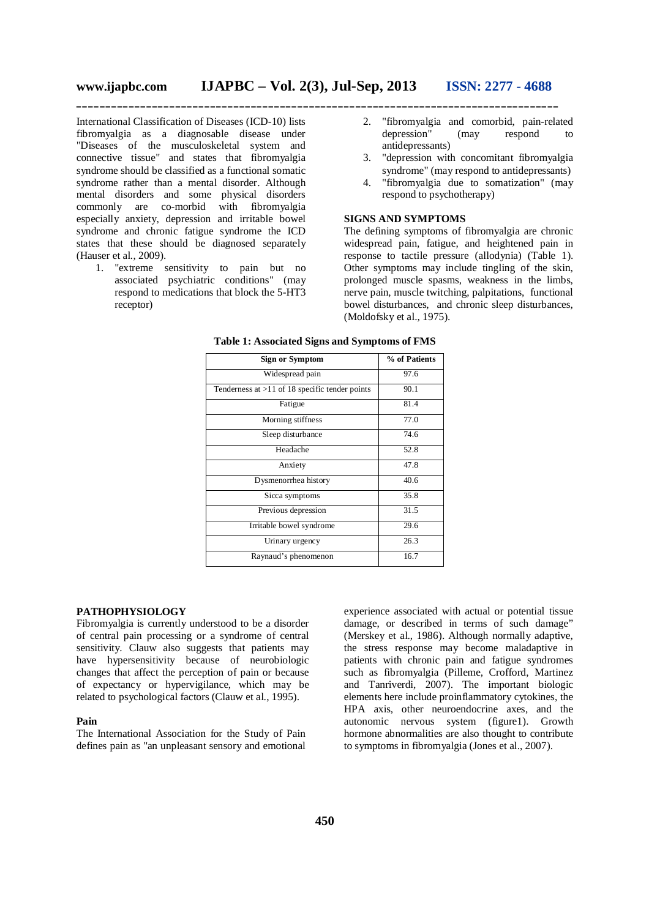**\_\_\_\_\_\_\_\_\_\_\_\_\_\_\_\_\_\_\_\_\_\_\_\_\_\_\_\_\_\_\_\_\_\_\_\_\_\_\_\_\_\_\_\_\_\_\_\_\_\_\_\_\_\_\_\_\_\_\_\_\_\_\_\_\_\_\_\_\_\_\_\_\_\_\_\_\_\_\_\_\_\_\_**

International Classification of Diseases (ICD-10) lists fibromyalgia as a diagnosable disease under "Diseases of the musculoskeletal system and connective tissue" and states that fibromyalgia syndrome should be classified as a functional somatic syndrome rather than a mental disorder. Although mental disorders and some physical disorders commonly are co-morbid with fibromyalgia especially anxiety, depression and irritable bowel syndrome and chronic fatigue syndrome the ICD states that these should be diagnosed separately (Hauser et al., 2009).

1. "extreme sensitivity to pain but no associated psychiatric conditions" (may respond to medications that block the 5-HT3 receptor)

- 2. "fibromyalgia and comorbid, pain-related depression" (may respond to antidepressants)
- 3. "depression with concomitant fibromyalgia syndrome" (may respond to antidepressants)
- 4. "fibromyalgia due to somatization" (may respond to psychotherapy)

# **SIGNS AND SYMPTOMS**

The defining symptoms of fibromyalgia are chronic widespread pain, fatigue, and heightened pain in response to tactile pressure (allodynia) (Table 1). Other symptoms may include tingling of the skin, prolonged muscle spasms, weakness in the limbs, nerve pain, muscle twitching, palpitations, functional bowel disturbances, and chronic sleep disturbances, (Moldofsky et al., 1975).

**Table 1: Associated Signs and Symptoms of FMS**

| <b>Sign or Symptom</b>                           | % of Patients |
|--------------------------------------------------|---------------|
| Widespread pain                                  | 97.6          |
| Tenderness at $>11$ of 18 specific tender points | 90.1          |
| Fatigue                                          | 81.4          |
| Morning stiffness                                | 77.0          |
| Sleep disturbance                                | 74.6          |
| Headache                                         | 52.8          |
| Anxiety                                          | 47.8          |
| Dysmenorrhea history                             | 40.6          |
| Sicca symptoms                                   | 35.8          |
| Previous depression                              | 31.5          |
| Irritable bowel syndrome                         | 29.6          |
| Urinary urgency                                  | 26.3          |
| Raynaud's phenomenon                             | 16.7          |

#### **PATHOPHYSIOLOGY**

Fibromyalgia is currently understood to be a disorder of central pain processing or a syndrome of central sensitivity. Clauw also suggests that patients may have hypersensitivity because of neurobiologic changes that affect the perception of pain or because of expectancy or hypervigilance, which may be related to psychological factors (Clauw et al., 1995).

#### **Pain**

The International Association for the Study of Pain defines pain as "an unpleasant sensory and emotional

experience associated with actual or potential tissue damage, or described in terms of such damage" (Merskey et al., 1986). Although normally adaptive, the stress response may become maladaptive in patients with chronic pain and fatigue syndromes such as fibromyalgia (Pilleme, Crofford, Martinez and Tanriverdi, 2007). The important biologic elements here include proinflammatory cytokines, the HPA axis, other neuroendocrine axes, and the autonomic nervous system (figure1). Growth hormone abnormalities are also thought to contribute to symptoms in fibromyalgia (Jones et al., 2007).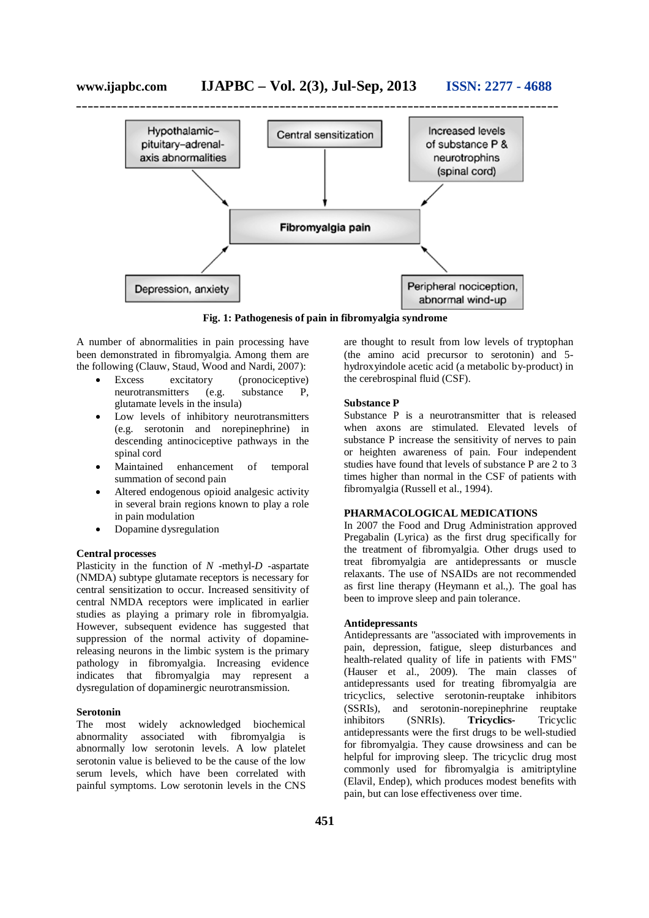

**Fig. 1: Pathogenesis of pain in fibromyalgia syndrome**

A number of abnormalities in pain processing have been demonstrated in fibromyalgia. Among them are the following (Clauw, Staud, Wood and Nardi, 2007):

- Excess excitatory (pronociceptive) neurotransmitters (e.g. substance P, glutamate levels in the insula)
- Low levels of inhibitory neurotransmitters (e.g. serotonin and norepinephrine) in descending antinociceptive pathways in the spinal cord
- Maintained enhancement of temporal summation of second pain
- Altered endogenous opioid analgesic activity in several brain regions known to play a role in pain modulation
- Dopamine dysregulation

# **Central processes**

Plasticity in the function of *N* -methyl-*D* -aspartate (NMDA) subtype glutamate receptors is necessary for central sensitization to occur. Increased sensitivity of central NMDA receptors were implicated in earlier studies as playing a primary role in fibromyalgia. However, subsequent evidence has suggested that suppression of the normal activity of dopaminereleasing neurons in the limbic system is the primary pathology in fibromyalgia. Increasing evidence indicates that fibromyalgia may represent a dysregulation of dopaminergic neurotransmission.

#### **Serotonin**

The most widely acknowledged biochemical abnormality associated with fibromyalgia is abnormally low serotonin levels. A low platelet serotonin value is believed to be the cause of the low serum levels, which have been correlated with painful symptoms. Low serotonin levels in the CNS

are thought to result from low levels of tryptophan (the amino acid precursor to serotonin) and 5 hydroxyindole acetic acid (a metabolic by-product) in the cerebrospinal fluid (CSF).

# **Substance P**

Substance P is a neurotransmitter that is released when axons are stimulated. Elevated levels of substance P increase the sensitivity of nerves to pain or heighten awareness of pain. Four independent studies have found that levels of substance P are 2 to 3 times higher than normal in the CSF of patients with fibromyalgia (Russell et al., 1994).

# **PHARMACOLOGICAL MEDICATIONS**

In 2007 the Food and Drug Administration approved Pregabalin (Lyrica) as the first drug specifically for the treatment of fibromyalgia. Other drugs used to treat fibromyalgia are antidepressants or muscle relaxants. The use of NSAIDs are not recommended as first line therapy (Heymann et al.,). The goal has been to improve sleep and pain tolerance.

# **Antidepressants**

Antidepressants are "associated with improvements in pain, depression, fatigue, sleep disturbances and health-related quality of life in patients with FMS" (Hauser et al., 2009). The main classes of antidepressants used for treating fibromyalgia are tricyclics, selective serotonin-reuptake inhibitors (SSRIs), and serotonin-norepinephrine reuptake inhibitors (SNRIs). **Tricyclics-** Tricyclic antidepressants were the first drugs to be well-studied for fibromyalgia. They cause drowsiness and can be helpful for improving sleep. The tricyclic drug most commonly used for fibromyalgia is amitriptyline (Elavil, Endep), which produces modest benefits with pain, but can lose effectiveness over time.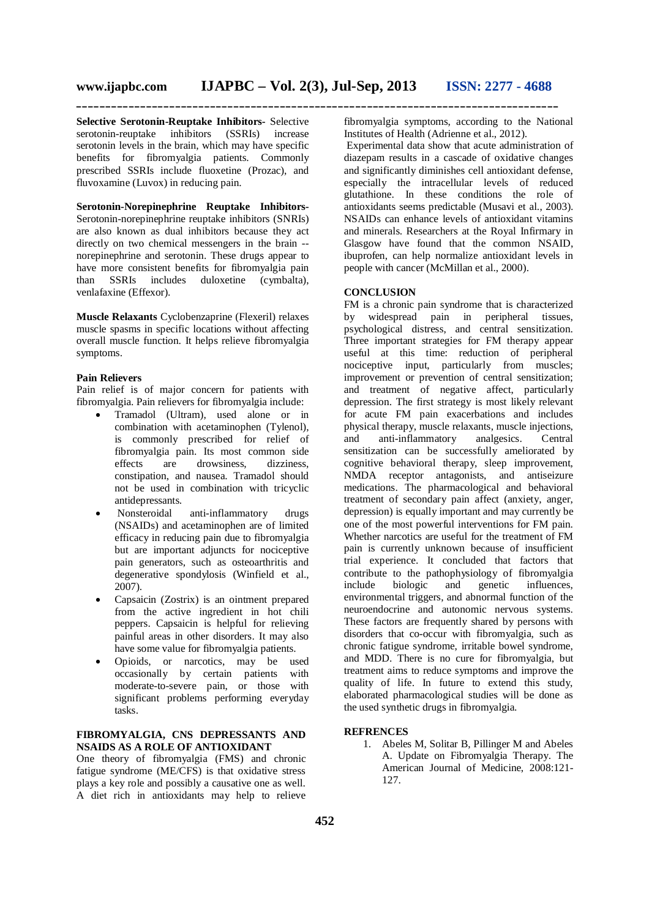**Selective Serotonin-Reuptake Inhibitors-** Selective serotonin-reuptake inhibitors (SSRIs) increase serotonin levels in the brain, which may have specific benefits for fibromyalgia patients. Commonly prescribed SSRIs include fluoxetine (Prozac), and fluvoxamine (Luvox) in reducing pain.

**Serotonin-Norepinephrine Reuptake Inhibitors-**Serotonin-norepinephrine reuptake inhibitors (SNRIs) are also known as dual inhibitors because they act directly on two chemical messengers in the brain - norepinephrine and serotonin. These drugs appear to have more consistent benefits for fibromyalgia pain<br>than SSRIs includes duloxetine (cymbalta), includes duloxetine (cymbalta), venlafaxine (Effexor).

**Muscle Relaxants** Cyclobenzaprine (Flexeril) relaxes muscle spasms in specific locations without affecting overall muscle function. It helps relieve fibromyalgia symptoms.

# **Pain Relievers**

Pain relief is of major concern for patients with fibromyalgia. Pain relievers for fibromyalgia include:

- Tramadol (Ultram), used alone or in combination with acetaminophen (Tylenol), is commonly prescribed for relief of fibromyalgia pain. Its most common side effects are drowsiness, dizziness, constipation, and nausea. Tramadol should not be used in combination with tricyclic antidepressants.
- Nonsteroidal anti-inflammatory drugs (NSAIDs) and acetaminophen are of limited efficacy in reducing pain due to fibromyalgia but are important adjuncts for nociceptive pain generators, such as osteoarthritis and degenerative spondylosis (Winfield et al., 2007).
- Capsaicin (Zostrix) is an ointment prepared from the active ingredient in hot chili peppers. Capsaicin is helpful for relieving painful areas in other disorders. It may also have some value for fibromyalgia patients.
- Opioids, or narcotics, may be used occasionally by certain patients with moderate-to-severe pain, or those with significant problems performing everyday tasks.

# **FIBROMYALGIA, CNS DEPRESSANTS AND NSAIDS AS A ROLE OF ANTIOXIDANT**

One theory of fibromyalgia (FMS) and chronic fatigue syndrome (ME/CFS) is that oxidative stress plays a key role and possibly a causative one as well. A diet rich in antioxidants may help to relieve

fibromyalgia symptoms, according to the National Institutes of Health (Adrienne et al., 2012).

Experimental data show that acute administration of diazepam results in a cascade of oxidative changes and significantly diminishes cell antioxidant defense, especially the intracellular levels of reduced glutathione. In these conditions the role of antioxidants seems predictable (Musavi et al., 2003). NSAIDs can enhance levels of antioxidant vitamins and minerals. Researchers at the Royal Infirmary in Glasgow have found that the common NSAID, ibuprofen, can help normalize antioxidant levels in people with cancer (McMillan et al., 2000).

# **CONCLUSION**

FM is a chronic pain syndrome that is characterized by widespread pain in peripheral tissues, psychological distress, and central sensitization. Three important strategies for FM therapy appear useful at this time: reduction of peripheral nociceptive input, particularly from muscles; improvement or prevention of central sensitization; and treatment of negative affect, particularly depression. The first strategy is most likely relevant for acute FM pain exacerbations and includes physical therapy, muscle relaxants, muscle injections, and anti-inflammatory sensitization can be successfully ameliorated by cognitive behavioral therapy, sleep improvement, NMDA receptor antagonists, and antiseizure medications. The pharmacological and behavioral treatment of secondary pain affect (anxiety, anger, depression) is equally important and may currently be one of the most powerful interventions for FM pain. Whether narcotics are useful for the treatment of FM pain is currently unknown because of insufficient trial experience. It concluded that factors that contribute to the pathophysiology of fibromyalgia<br>include biologic and genetic influences. include biologic and genetic influences, environmental triggers, and abnormal function of the neuroendocrine and autonomic nervous systems. These factors are frequently shared by persons with disorders that co-occur with fibromyalgia, such as chronic fatigue syndrome, irritable bowel syndrome, and MDD. There is no cure for fibromyalgia, but treatment aims to reduce symptoms and improve the quality of life. In future to extend this study, elaborated pharmacological studies will be done as the used synthetic drugs in fibromyalgia.

# **REFRENCES**

1. Abeles M, Solitar B, Pillinger M and Abeles A. Update on Fibromyalgia Therapy. The American Journal of Medicine, 2008:121- 127.